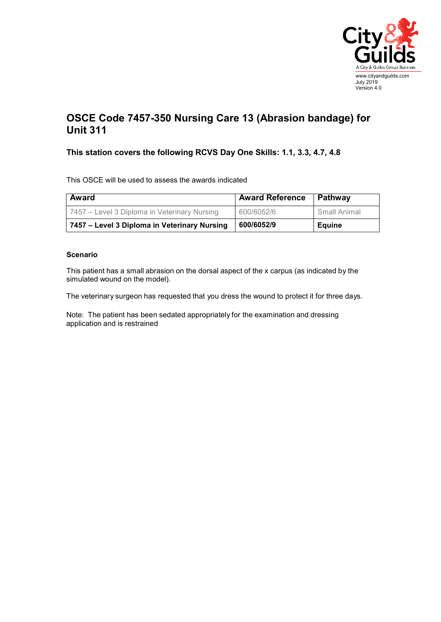

## **OSCE Code 7457-350 Nursing Care 13 (Abrasion bandage) for Unit 311**

## **This station covers the following RCVS Day One Skills: 1.1, 3.3, 4.7, 4.8**

This OSCE will be used to assess the awards indicated

| Award                                        | <b>Award Reference</b> | Pathway       |
|----------------------------------------------|------------------------|---------------|
| 7457 – Level 3 Diploma in Veterinary Nursing | 600/6052/6             | Small Animal  |
| 7457 – Level 3 Diploma in Veterinary Nursing | 600/6052/9             | <b>Equine</b> |

## **Scenario**

This patient has a small abrasion on the dorsal aspect of the x carpus (as indicated by the simulated wound on the model).

The veterinary surgeon has requested that you dress the wound to protect it for three days.

Note: The patient has been sedated appropriately for the examination and dressing application and is restrained